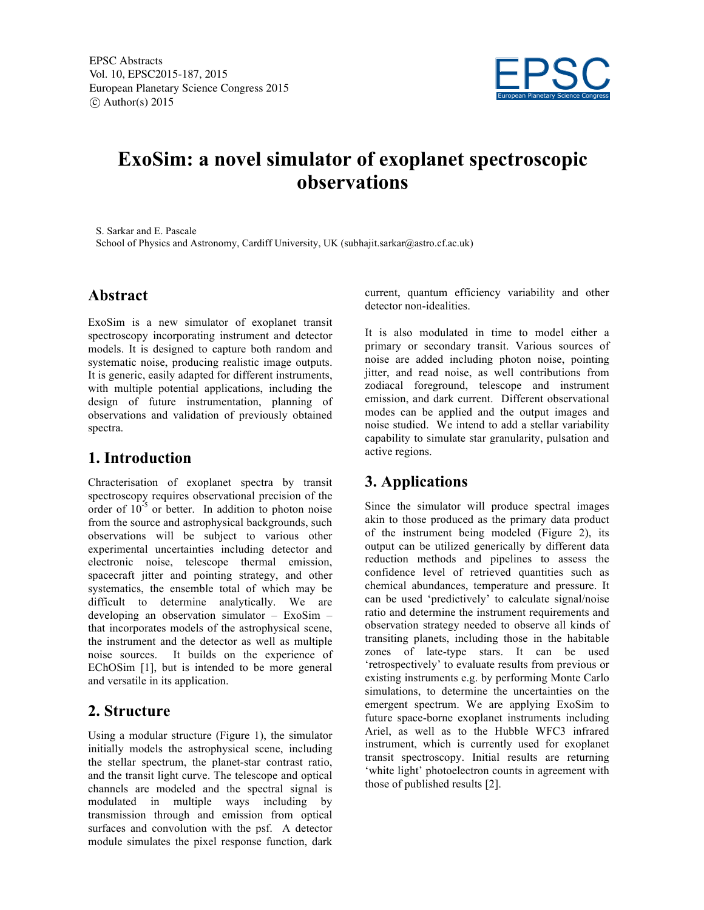

# **ExoSim: a novel simulator of exoplanet spectroscopic observations**

S. Sarkar and E. Pascale School of Physics and Astronomy, Cardiff University, UK (subhajit.sarkar@astro.cf.ac.uk)

#### **Abstract**

ExoSim is a new simulator of exoplanet transit spectroscopy incorporating instrument and detector models. It is designed to capture both random and systematic noise, producing realistic image outputs. It is generic, easily adapted for different instruments, with multiple potential applications, including the design of future instrumentation, planning of observations and validation of previously obtained spectra.

#### **1. Introduction**

Chracterisation of exoplanet spectra by transit spectroscopy requires observational precision of the order of  $10^{-5}$  or better. In addition to photon noise from the source and astrophysical backgrounds, such observations will be subject to various other experimental uncertainties including detector and electronic noise, telescope thermal emission, spacecraft jitter and pointing strategy, and other systematics, the ensemble total of which may be difficult to determine analytically. We are developing an observation simulator – ExoSim – that incorporates models of the astrophysical scene, the instrument and the detector as well as multiple noise sources. It builds on the experience of EChOSim [1], but is intended to be more general and versatile in its application.

#### **2. Structure**

Using a modular structure (Figure 1), the simulator initially models the astrophysical scene, including the stellar spectrum, the planet-star contrast ratio, and the transit light curve. The telescope and optical channels are modeled and the spectral signal is modulated in multiple ways including by transmission through and emission from optical surfaces and convolution with the psf. A detector module simulates the pixel response function, dark current, quantum efficiency variability and other detector non-idealities.

It is also modulated in time to model either a primary or secondary transit. Various sources of noise are added including photon noise, pointing jitter, and read noise, as well contributions from zodiacal foreground, telescope and instrument emission, and dark current. Different observational modes can be applied and the output images and noise studied. We intend to add a stellar variability capability to simulate star granularity, pulsation and active regions.

## **3. Applications**

Since the simulator will produce spectral images akin to those produced as the primary data product of the instrument being modeled (Figure 2), its output can be utilized generically by different data reduction methods and pipelines to assess the confidence level of retrieved quantities such as chemical abundances, temperature and pressure. It can be used 'predictively' to calculate signal/noise ratio and determine the instrument requirements and observation strategy needed to observe all kinds of transiting planets, including those in the habitable zones of late-type stars. It can be used 'retrospectively' to evaluate results from previous or existing instruments e.g. by performing Monte Carlo simulations, to determine the uncertainties on the emergent spectrum. We are applying ExoSim to future space-borne exoplanet instruments including Ariel, as well as to the Hubble WFC3 infrared instrument, which is currently used for exoplanet transit spectroscopy. Initial results are returning 'white light' photoelectron counts in agreement with those of published results [2].